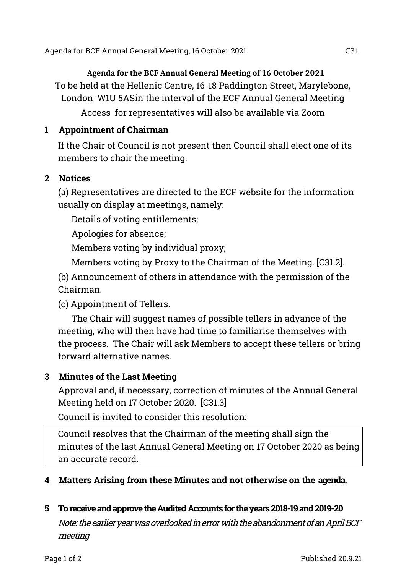Agenda for BCF Annual General Meeting, 16 October 2021 C31

**Agenda for the BCF Annual General Meeting of 16 October 2021**  To be held at the Hellenic Centre, 16-18 Paddington Street, Marylebone, London W1U 5ASin the interval of the ECF Annual General Meeting

Access for representatives will also be available via Zoom

# **1 Appointment of Chairman**

If the Chair of Council is not present then Council shall elect one of its members to chair the meeting.

### **2 Notices**

(a) Representatives are directed to the ECF website for the information usually on display at meetings, namely:

Details of voting entitlements;

Apologies for absence;

Members voting by individual proxy;

Members voting by Proxy to the Chairman of the Meeting. [C31.2].

(b) Announcement of others in attendance with the permission of the Chairman.

(c) Appointment of Tellers.

The Chair will suggest names of possible tellers in advance of the meeting, who will then have had time to familiarise themselves with the process. The Chair will ask Members to accept these tellers or bring forward alternative names.

# **3 Minutes of the Last Meeting**

Approval and, if necessary, correction of minutes of the Annual General Meeting held on 17 October 2020. [C31.3]

Council is invited to consider this resolution:

Council resolves that the Chairman of the meeting shall sign the minutes of the last Annual General Meeting on 17 October 2020 as being an accurate record.

# **4 Matters Arising from these Minutes and not otherwise on the agenda.**

### **5 To receive and approve the Audited Accounts for the years 2018-19 and 2019-20**

Note: the earlier year was overlooked in error with the abandonment of an April BCF meeting